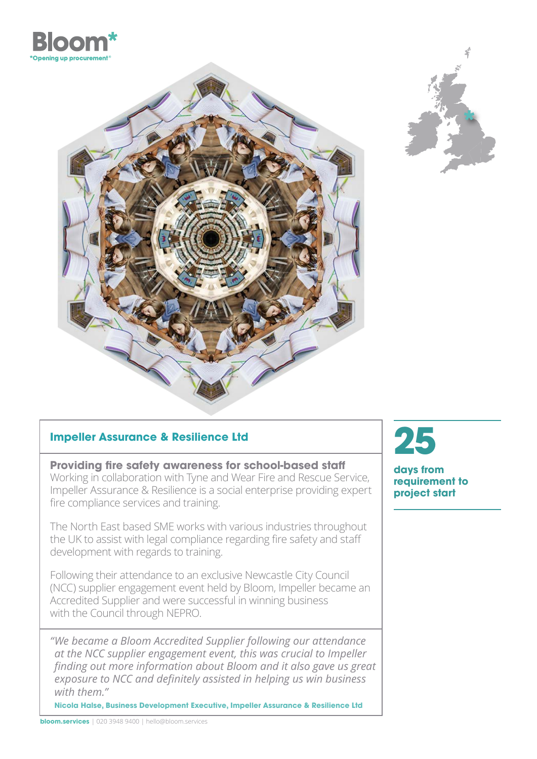





## **Impeller Assurance & Resilience Ltd**

**Providing fire safety awareness for school-based staff** Working in collaboration with Tyne and Wear Fire and Rescue Service, Impeller Assurance & Resilience is a social enterprise providing expert fire compliance services and training.

The North East based SME works with various industries throughout the UK to assist with legal compliance regarding fire safety and staff development with regards to training.

Following their attendance to an exclusive Newcastle City Council (NCC) supplier engagement event held by Bloom, Impeller became an Accredited Supplier and were successful in winning business with the Council through NEPRO.

 *"We became a Bloom Accredited Supplier following our attendance at the NCC supplier engagement event, this was crucial to Impeller finding out more information about Bloom and it also gave us great exposure to NCC and definitely assisted in helping us win business with them."* 

**Nicola Halse, Business Development Executive, Impeller Assurance & Resilience Ltd** 



**days from requirement to project start**